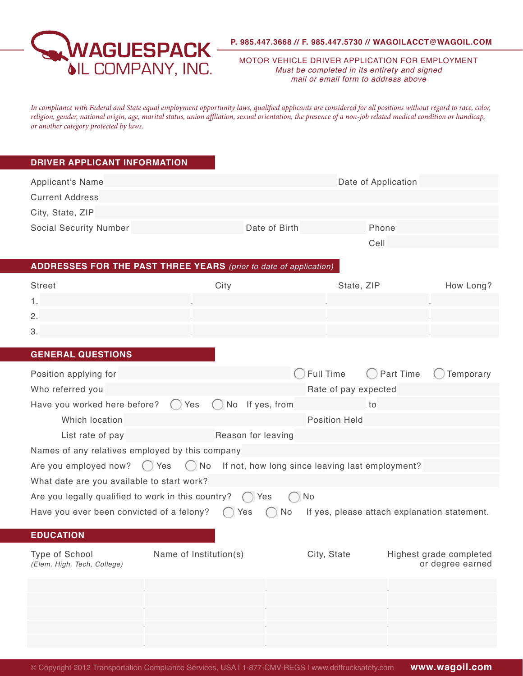

MOTOR VEHICLE DRIVER APPLICATION FOR EMPLOYMENT *Must be completed in its entirety and signed mail or email form to address above*

*In compliance with Federal and State equal employment opportunity laws, qualified applicants are considered for all positions without regard to race, color, religion, gender, national origin, age, marital status, union affliation, sexual orientation, the presence of a non-job related medical condition or handicap, or another category protected by laws.*

## **DRIVER APPLICANT INFORMATION**

|     |                                                                                                                                                                 | Phone                                                                                                                                                                                                                                                                              |                                                                                                                                                                                                                                       |
|-----|-----------------------------------------------------------------------------------------------------------------------------------------------------------------|------------------------------------------------------------------------------------------------------------------------------------------------------------------------------------------------------------------------------------------------------------------------------------|---------------------------------------------------------------------------------------------------------------------------------------------------------------------------------------------------------------------------------------|
|     |                                                                                                                                                                 | Cell                                                                                                                                                                                                                                                                               |                                                                                                                                                                                                                                       |
|     |                                                                                                                                                                 |                                                                                                                                                                                                                                                                                    |                                                                                                                                                                                                                                       |
|     |                                                                                                                                                                 |                                                                                                                                                                                                                                                                                    | How Long?                                                                                                                                                                                                                             |
|     |                                                                                                                                                                 |                                                                                                                                                                                                                                                                                    |                                                                                                                                                                                                                                       |
|     |                                                                                                                                                                 |                                                                                                                                                                                                                                                                                    |                                                                                                                                                                                                                                       |
|     |                                                                                                                                                                 |                                                                                                                                                                                                                                                                                    |                                                                                                                                                                                                                                       |
|     |                                                                                                                                                                 |                                                                                                                                                                                                                                                                                    |                                                                                                                                                                                                                                       |
|     |                                                                                                                                                                 |                                                                                                                                                                                                                                                                                    |                                                                                                                                                                                                                                       |
|     |                                                                                                                                                                 | Part Time                                                                                                                                                                                                                                                                          | Temporary                                                                                                                                                                                                                             |
|     |                                                                                                                                                                 |                                                                                                                                                                                                                                                                                    |                                                                                                                                                                                                                                       |
| Yes |                                                                                                                                                                 | to                                                                                                                                                                                                                                                                                 |                                                                                                                                                                                                                                       |
|     |                                                                                                                                                                 |                                                                                                                                                                                                                                                                                    |                                                                                                                                                                                                                                       |
|     |                                                                                                                                                                 |                                                                                                                                                                                                                                                                                    |                                                                                                                                                                                                                                       |
|     |                                                                                                                                                                 |                                                                                                                                                                                                                                                                                    |                                                                                                                                                                                                                                       |
|     |                                                                                                                                                                 |                                                                                                                                                                                                                                                                                    |                                                                                                                                                                                                                                       |
|     |                                                                                                                                                                 |                                                                                                                                                                                                                                                                                    |                                                                                                                                                                                                                                       |
|     | No                                                                                                                                                              |                                                                                                                                                                                                                                                                                    |                                                                                                                                                                                                                                       |
|     |                                                                                                                                                                 |                                                                                                                                                                                                                                                                                    |                                                                                                                                                                                                                                       |
|     |                                                                                                                                                                 |                                                                                                                                                                                                                                                                                    |                                                                                                                                                                                                                                       |
|     |                                                                                                                                                                 |                                                                                                                                                                                                                                                                                    |                                                                                                                                                                                                                                       |
|     |                                                                                                                                                                 |                                                                                                                                                                                                                                                                                    | Highest grade completed<br>or degree earned                                                                                                                                                                                           |
|     |                                                                                                                                                                 |                                                                                                                                                                                                                                                                                    |                                                                                                                                                                                                                                       |
|     |                                                                                                                                                                 |                                                                                                                                                                                                                                                                                    |                                                                                                                                                                                                                                       |
|     |                                                                                                                                                                 |                                                                                                                                                                                                                                                                                    |                                                                                                                                                                                                                                       |
|     |                                                                                                                                                                 |                                                                                                                                                                                                                                                                                    |                                                                                                                                                                                                                                       |
|     |                                                                                                                                                                 |                                                                                                                                                                                                                                                                                    |                                                                                                                                                                                                                                       |
|     | City<br>Names of any relatives employed by this company<br>Are you employed now? () Yes<br>What date are you available to start work?<br>Name of Institution(s) | Date of Birth<br><b>ADDRESSES FOR THE PAST THREE YEARS</b> (prior to date of application)<br>No If yes, from<br>Reason for leaving<br>Are you legally qualified to work in this country? $\binom{1}{x}$ Yes<br>Have you ever been convicted of a felony? $\bigcirc$ Yes $\bigcirc$ | Date of Application<br>State, ZIP<br>Full Time<br>Rate of pay expected<br><b>Position Held</b><br>$\binom{1}{2}$ No If not, how long since leaving last employment?<br>No If yes, please attach explanation statement.<br>City, State |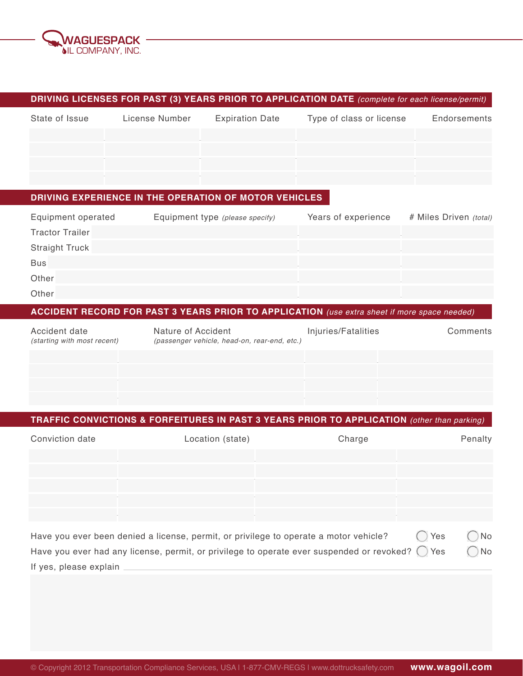

# **DRIVING LICENSES FOR PAST (3) YEARS PRIOR TO APPLICATION DATE** *(complete for each license/permit)*

| State of Issue | License Number | <b>Expiration Date</b> | Type of class or license | Endorsements |
|----------------|----------------|------------------------|--------------------------|--------------|
|                |                |                        |                          |              |
|                |                |                        |                          |              |
|                |                |                        |                          |              |
|                |                |                        |                          |              |

# **DRIVING EXPERIENCE IN THE OPERATION OF MOTOR VEHICLES**

| Equipment operated     | Equipment type (please specify) | Years of experience | # Miles Driven (total) |
|------------------------|---------------------------------|---------------------|------------------------|
| <b>Tractor Trailer</b> |                                 |                     |                        |
| <b>Straight Truck</b>  |                                 |                     |                        |
| <b>Bus</b>             |                                 |                     |                        |
| Other                  |                                 |                     |                        |
| Other                  |                                 |                     |                        |

# **ACCIDENT RECORD FOR PAST 3 YEARS PRIOR TO APPLICATION** *(use extra sheet if more space needed)*

| Accident date<br>(starting with most recent) | Nature of Accident<br>(passenger vehicle, head-on, rear-end, etc.) | Injuries/Fatalities | Comments |
|----------------------------------------------|--------------------------------------------------------------------|---------------------|----------|
|                                              |                                                                    |                     |          |
|                                              |                                                                    |                     |          |
|                                              |                                                                    |                     |          |

# **TRAFFIC CONVICTIONS & FORFEITURES IN PAST 3 YEARS PRIOR TO APPLICATION** *(other than parking)*

| Conviction date | Location (state) | Charge | Penalty           |
|-----------------|------------------|--------|-------------------|
|                 |                  |        |                   |
|                 |                  |        |                   |
|                 |                  |        |                   |
|                 | - 1              |        | <b>Service</b>    |
|                 |                  |        | $\sim$ 100 $\sim$ |
|                 |                  |        |                   |

| Have you ever been denied a license, permit, or privilege to operate a motor vehicle?                               | ◯ Yes | $\bigcap$ No |
|---------------------------------------------------------------------------------------------------------------------|-------|--------------|
| Have you ever had any license, permit, or privilege to operate ever suspended or revoked? $\bigcirc$ Yes $\bigcirc$ |       | ) No         |
| If yes, please explain                                                                                              |       |              |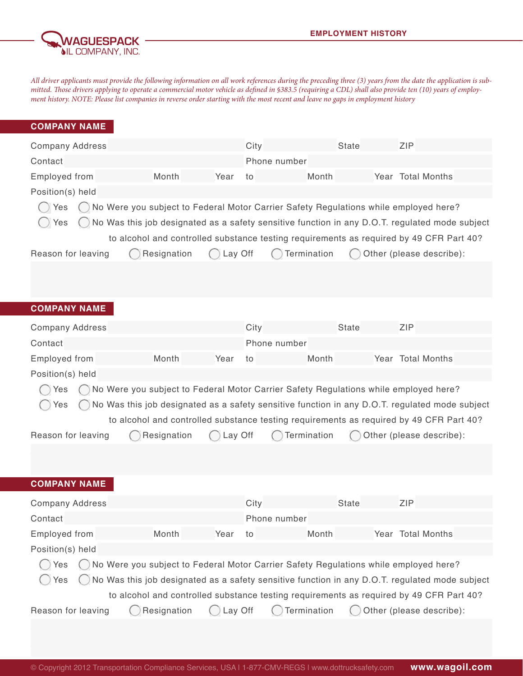

*All driver applicants must provide the following information on all work references during the preceding three (3) years from the date the application is submitted. Those drivers applying to operate a commercial motor vehicle as defined in §383.5 (requiring a CDL) shall also provide ten (10) years of employment history. NOTE: Please list companies in reverse order starting with the most recent and leave no gaps in employment history*

| <b>COMPANY NAME</b>    |                                                                                      |         |              |              |                                                                                                |
|------------------------|--------------------------------------------------------------------------------------|---------|--------------|--------------|------------------------------------------------------------------------------------------------|
| <b>Company Address</b> |                                                                                      |         | City         | <b>State</b> | ZIP                                                                                            |
| Contact                |                                                                                      |         | Phone number |              |                                                                                                |
| Employed from          | Month                                                                                | Year    | to           | Month        | Year Total Months                                                                              |
| Position(s) held       |                                                                                      |         |              |              |                                                                                                |
| Yes                    | No Were you subject to Federal Motor Carrier Safety Regulations while employed here? |         |              |              |                                                                                                |
| Yes                    |                                                                                      |         |              |              | No Was this job designated as a safety sensitive function in any D.O.T. regulated mode subject |
|                        |                                                                                      |         |              |              | to alcohol and controlled substance testing requirements as required by 49 CFR Part 40?        |
| Reason for leaving     | Resignation                                                                          | Lay Off |              | Termination  | Other (please describe):                                                                       |
|                        |                                                                                      |         |              |              |                                                                                                |
|                        |                                                                                      |         |              |              |                                                                                                |
| <b>COMPANY NAME</b>    |                                                                                      |         |              |              |                                                                                                |
|                        |                                                                                      |         |              |              |                                                                                                |
| <b>Company Address</b> |                                                                                      |         | City         | <b>State</b> | ZIP                                                                                            |
| Contact                |                                                                                      |         | Phone number |              |                                                                                                |
| Employed from          | Month                                                                                | Year    | to           | Month        | Year Total Months                                                                              |
| Position(s) held       |                                                                                      |         |              |              |                                                                                                |
| Yes                    | No Were you subject to Federal Motor Carrier Safety Regulations while employed here? |         |              |              |                                                                                                |
| Yes                    |                                                                                      |         |              |              | No Was this job designated as a safety sensitive function in any D.O.T. regulated mode subject |
|                        |                                                                                      |         |              |              | to alcohol and controlled substance testing requirements as required by 49 CFR Part 40?        |
| Reason for leaving     | Resignation                                                                          | Lay Off |              | Termination  | Other (please describe):                                                                       |
|                        |                                                                                      |         |              |              |                                                                                                |
|                        |                                                                                      |         |              |              |                                                                                                |
| <b>COMPANY NAME</b>    |                                                                                      |         |              |              |                                                                                                |
| <b>Company Address</b> |                                                                                      |         | City         | <b>State</b> | ZIP                                                                                            |
| Contact                |                                                                                      |         | Phone number |              |                                                                                                |
| Employed from          | Month                                                                                | Year    | to           | Month        | Year Total Months                                                                              |
| Position(s) held       |                                                                                      |         |              |              |                                                                                                |
| Yes                    | No Were you subject to Federal Motor Carrier Safety Regulations while employed here? |         |              |              |                                                                                                |
| Yes                    |                                                                                      |         |              |              | No Was this job designated as a safety sensitive function in any D.O.T. regulated mode subject |
|                        |                                                                                      |         |              |              | to alcohol and controlled substance testing requirements as required by 49 CFR Part 40?        |
| Reason for leaving     | Resignation                                                                          | Lay Off |              | Termination  | Other (please describe):                                                                       |
|                        |                                                                                      |         |              |              |                                                                                                |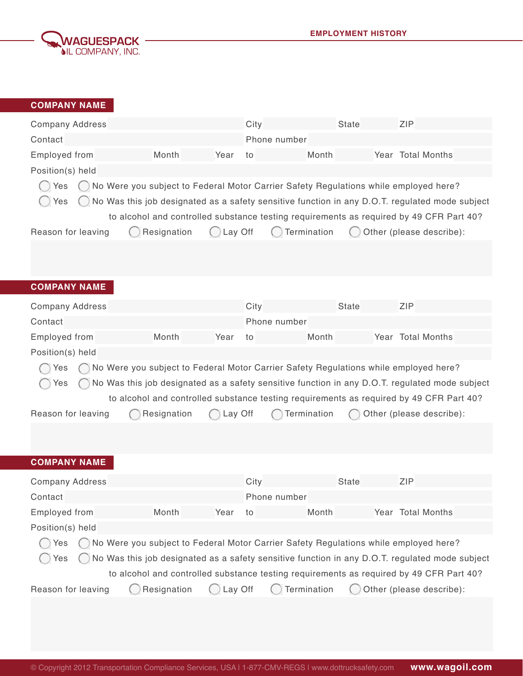

| <b>COMPANY NAME</b>              |                                                                                                     |         |      |              |              |                                                                                                                                                                                                                       |
|----------------------------------|-----------------------------------------------------------------------------------------------------|---------|------|--------------|--------------|-----------------------------------------------------------------------------------------------------------------------------------------------------------------------------------------------------------------------|
| <b>Company Address</b>           |                                                                                                     |         | City |              | <b>State</b> | <b>ZIP</b>                                                                                                                                                                                                            |
| Contact                          |                                                                                                     |         |      | Phone number |              |                                                                                                                                                                                                                       |
| <b>Employed from</b>             | Month                                                                                               | Year    | to   | Month        |              | Year Total Months                                                                                                                                                                                                     |
| Position(s) held                 |                                                                                                     |         |      |              |              |                                                                                                                                                                                                                       |
| Yes<br>Yes<br>Reason for leaving | No Were you subject to Federal Motor Carrier Safety Regulations while employed here?<br>Resignation | Lay Off |      | Termination  |              | No Was this job designated as a safety sensitive function in any D.O.T. regulated mode subject<br>to alcohol and controlled substance testing requirements as required by 49 CFR Part 40?<br>Other (please describe): |
| <b>COMPANY NAME</b>              |                                                                                                     |         |      |              |              |                                                                                                                                                                                                                       |
|                                  |                                                                                                     |         |      |              |              |                                                                                                                                                                                                                       |
| <b>Company Address</b>           |                                                                                                     |         | City |              | <b>State</b> | ZIP                                                                                                                                                                                                                   |
| Contact                          |                                                                                                     |         |      | Phone number |              |                                                                                                                                                                                                                       |
| <b>Employed from</b>             | Month                                                                                               | Year    | to   | Month        |              | Year Total Months                                                                                                                                                                                                     |
| Position(s) held                 |                                                                                                     |         |      |              |              |                                                                                                                                                                                                                       |
| Yes<br>Yes                       | No Were you subject to Federal Motor Carrier Safety Regulations while employed here?                |         |      |              |              | No Was this job designated as a safety sensitive function in any D.O.T. regulated mode subject<br>to alcohol and controlled substance testing requirements as required by 49 CFR Part 40?                             |
| Reason for leaving               | Resignation                                                                                         | Lay Off |      | Termination  |              | Other (please describe):                                                                                                                                                                                              |
|                                  |                                                                                                     |         |      |              |              |                                                                                                                                                                                                                       |
| <b>COMPANY NAME</b>              |                                                                                                     |         |      |              |              |                                                                                                                                                                                                                       |
| <b>Company Address</b>           |                                                                                                     |         | City |              | <b>State</b> | ZIP                                                                                                                                                                                                                   |
| Contact                          |                                                                                                     |         |      | Phone number |              |                                                                                                                                                                                                                       |
| <b>Employed from</b>             | Month                                                                                               | Year    | to   | Month        |              | Year Total Months                                                                                                                                                                                                     |
| Position(s) held                 |                                                                                                     |         |      |              |              |                                                                                                                                                                                                                       |
| Yes                              | No Were you subject to Federal Motor Carrier Safety Regulations while employed here?                |         |      |              |              |                                                                                                                                                                                                                       |
| Yes                              |                                                                                                     |         |      |              |              | No Was this job designated as a safety sensitive function in any D.O.T. regulated mode subject                                                                                                                        |
|                                  |                                                                                                     |         |      |              |              | to alcohol and controlled substance testing requirements as required by 49 CFR Part 40?                                                                                                                               |
| Reason for leaving               | Resignation                                                                                         | Lay Off |      | Termination  |              | Other (please describe):                                                                                                                                                                                              |
|                                  |                                                                                                     |         |      |              |              |                                                                                                                                                                                                                       |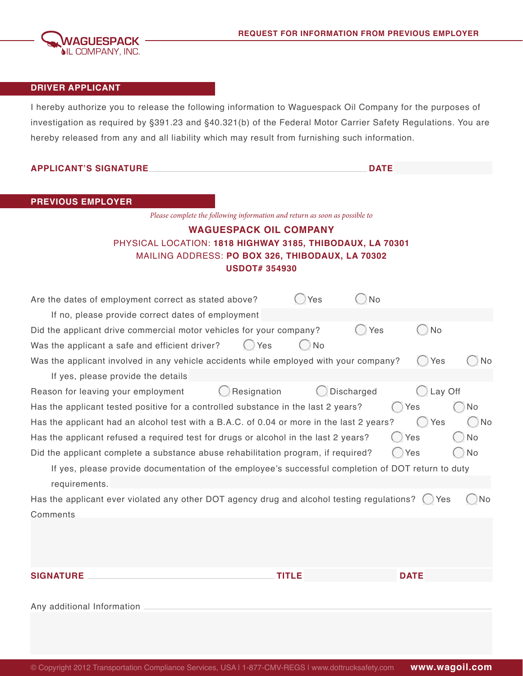

# **DRIVER APPLICANT**

I hereby authorize you to release the following information to Waguespack Oil Company for the purposes of investigation as required by §391.23 and §40.321(b) of the Federal Motor Carrier Safety Regulations. You are hereby released from any and all liability which may result from furnishing such information.

| <b>APPLICANT'S SIGNATURE</b>                                                                       |                   | <b>DATE</b>      |
|----------------------------------------------------------------------------------------------------|-------------------|------------------|
|                                                                                                    |                   |                  |
| <b>PREVIOUS EMPLOYER</b>                                                                           |                   |                  |
| Please complete the following information and return as soon as possible to                        |                   |                  |
| <b>WAGUESPACK OIL COMPANY</b>                                                                      |                   |                  |
| PHYSICAL LOCATION: 1818 HIGHWAY 3185, THIBODAUX, LA 70301                                          |                   |                  |
| MAILING ADDRESS: PO BOX 326, THIBODAUX, LA 70302                                                   |                   |                  |
| <b>USDOT#354930</b>                                                                                |                   |                  |
| Are the dates of employment correct as stated above?                                               | Yes               | No               |
| If no, please provide correct dates of employment                                                  |                   |                  |
| Did the applicant drive commercial motor vehicles for your company?                                |                   | <b>No</b><br>Yes |
| Yes<br>Was the applicant a safe and efficient driver?                                              | <b>No</b>         |                  |
| Was the applicant involved in any vehicle accidents while employed with your company?              |                   | No<br>Yes        |
| If yes, please provide the details                                                                 |                   |                  |
| Resignation<br>Reason for leaving your employment                                                  | <b>Discharged</b> | Lay Off          |
| Has the applicant tested positive for a controlled substance in the last 2 years?                  |                   | Yes<br>No        |
| Has the applicant had an alcohol test with a B.A.C. of 0.04 or more in the last 2 years?           |                   | Yes<br>No        |
| Has the applicant refused a required test for drugs or alcohol in the last 2 years?                |                   | <b>No</b><br>Yes |
| Did the applicant complete a substance abuse rehabilitation program, if required?                  |                   | Yes<br>No        |
| If yes, please provide documentation of the employee's successful completion of DOT return to duty |                   |                  |
| requirements.                                                                                      |                   |                  |
| Has the applicant ever violated any other DOT agency drug and alcohol testing regulations?         |                   | No<br>Yes        |
| Comments                                                                                           |                   |                  |
|                                                                                                    |                   |                  |
|                                                                                                    |                   |                  |
|                                                                                                    |                   |                  |
| <b>SIGNATURE</b>                                                                                   | <b>TITLE</b>      | <b>DATE</b>      |
|                                                                                                    |                   |                  |
| Any additional Information                                                                         |                   |                  |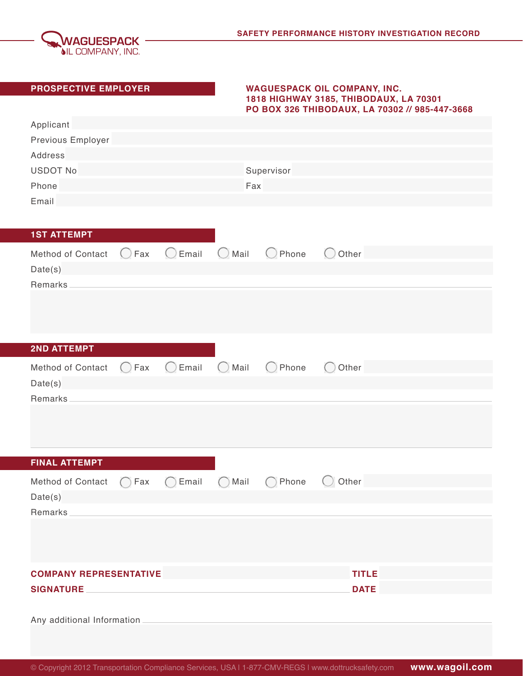

## **PROSPECTIVE EMPLOYER WAGUESPACK OIL COMPANY, INC. 1818 HIGHWAY 3185, THIBODAUX, LA 70301 PO BOX 326 THIBODAUX, LA 70302 // 985-447-3668**

| Applicant<br>Previous Employer<br>Address<br><b>USDOT No</b><br>Phone<br>Email |                |                    | Fax                            | Supervisor                                             |                  |  |
|--------------------------------------------------------------------------------|----------------|--------------------|--------------------------------|--------------------------------------------------------|------------------|--|
| <b>1ST ATTEMPT</b><br>Method of Contact<br>Date(s)                             | $\bigcirc$ Fax | $O$ Email $O$ Mail |                                | $\bigcirc$ Phone                                       | $\bigcirc$ Other |  |
| Remarks                                                                        |                |                    |                                |                                                        |                  |  |
| <b>2ND ATTEMPT</b>                                                             |                |                    |                                |                                                        |                  |  |
| Method of Contact<br>Date(s)<br>Remarks                                        | $\bigcirc$ Fax | $\bigcirc$ Email   | $\bigcirc$ Mail                | Phone<br>$\left( \begin{array}{c} \end{array} \right)$ | Other            |  |
|                                                                                |                |                    |                                |                                                        |                  |  |
| <b>FINAL ATTEMPT</b>                                                           |                |                    |                                |                                                        |                  |  |
| Method of Contact<br>Date(s)<br>Remarks                                        | Fax            | Email              | Mail<br>$\left( \quad \right)$ | Phone                                                  | Other            |  |
|                                                                                |                |                    |                                |                                                        |                  |  |
| <b>COMPANY REPRESENTATIVE</b>                                                  |                |                    |                                |                                                        | <b>TITLE</b>     |  |
| SIGNATURE                                                                      |                |                    |                                |                                                        | <b>DATE</b>      |  |
|                                                                                |                |                    |                                |                                                        |                  |  |
|                                                                                |                |                    |                                |                                                        |                  |  |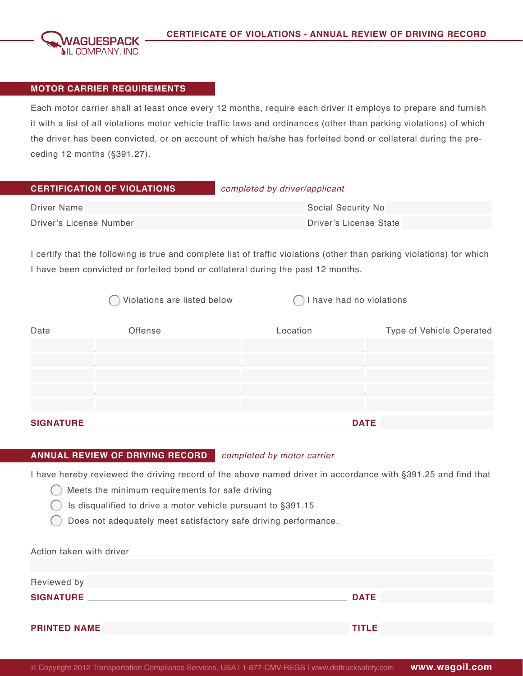

### **MOTOR CARRIER REQUIREMENTS**

Each motor carrier shall at least once every 12 months, require each driver it employs to prepare and furnish it with a list of all violations motor vehicle traffic laws and ordinances (other than parking violations) of which the driver has been convicted, or on account of which he/she has forfeited bond or collateral during the preceding 12 months (§391.27).

| <b>CERTIFICATION OF VIOLATIONS</b> | completed by driver/applicant |
|------------------------------------|-------------------------------|
| Driver Name                        | Social Security No            |
| Driver's License Number            | Driver's License State        |

I certify that the following is true and complete list of traffic violations (other than parking violations) for which I have been convicted or forfeited bond or collateral during the past 12 months.

|                  | Violations are listed below | I have had no violations |                          |
|------------------|-----------------------------|--------------------------|--------------------------|
| Date             | Offense                     | Location                 | Type of Vehicle Operated |
|                  |                             |                          |                          |
|                  |                             |                          |                          |
|                  |                             |                          |                          |
|                  |                             |                          |                          |
|                  |                             |                          |                          |
| <b>SIGNATURE</b> |                             | <b>DATE</b>              |                          |

### **ANNUAL REVIEW OF DRIVING RECORD** *completed by motor carrier*

I have hereby reviewed the driving record of the above named driver in accordance with §391.25 and find that

- $\bigcap$  Meets the minimum requirements for safe driving
	- Is disqualified to drive a motor vehicle pursuant to §391.15
	- Does not adequately meet satisfactory safe driving performance.

| Action taken with driver |              |
|--------------------------|--------------|
|                          |              |
| Reviewed by              |              |
| <b>SIGNATURE</b>         | <b>DATE</b>  |
|                          |              |
| <b>PRINTED NAME</b>      | <b>TITLE</b> |